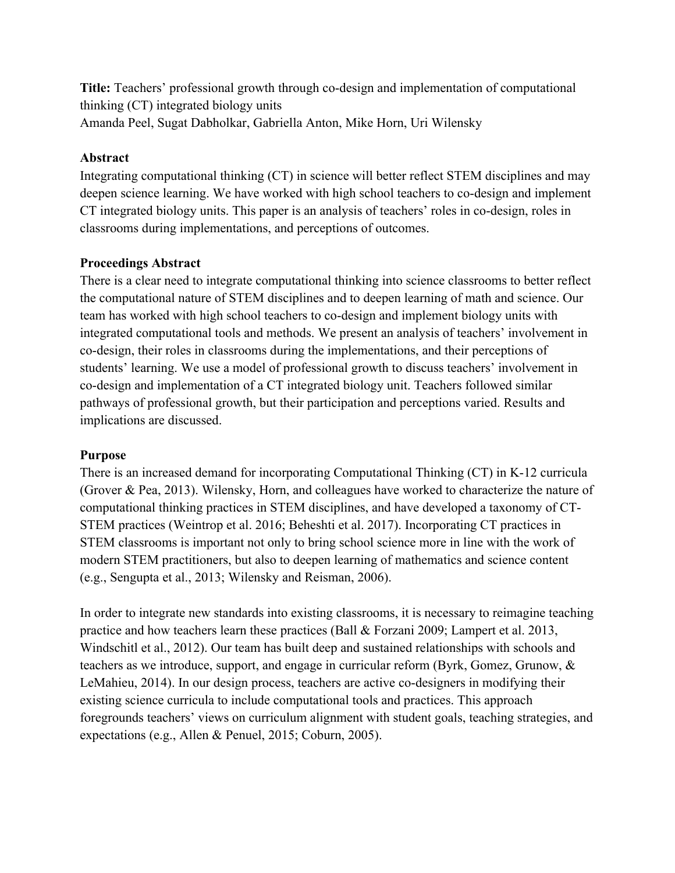**Title:** Teachers' professional growth through co-design and implementation of computational thinking (CT) integrated biology units Amanda Peel, Sugat Dabholkar, Gabriella Anton, Mike Horn, Uri Wilensky

## **Abstract**

Integrating computational thinking (CT) in science will better reflect STEM disciplines and may deepen science learning. We have worked with high school teachers to co-design and implement CT integrated biology units. This paper is an analysis of teachers' roles in co-design, roles in classrooms during implementations, and perceptions of outcomes.

## **Proceedings Abstract**

There is a clear need to integrate computational thinking into science classrooms to better reflect the computational nature of STEM disciplines and to deepen learning of math and science. Our team has worked with high school teachers to co-design and implement biology units with integrated computational tools and methods. We present an analysis of teachers' involvement in co-design, their roles in classrooms during the implementations, and their perceptions of students' learning. We use a model of professional growth to discuss teachers' involvement in co-design and implementation of a CT integrated biology unit. Teachers followed similar pathways of professional growth, but their participation and perceptions varied. Results and implications are discussed.

#### **Purpose**

There is an increased demand for incorporating Computational Thinking (CT) in K-12 curricula (Grover & Pea, 2013). Wilensky, Horn, and colleagues have worked to characterize the nature of computational thinking practices in STEM disciplines, and have developed a taxonomy of CT-STEM practices (Weintrop et al. 2016; Beheshti et al. 2017). Incorporating CT practices in STEM classrooms is important not only to bring school science more in line with the work of modern STEM practitioners, but also to deepen learning of mathematics and science content (e.g., Sengupta et al., 2013; Wilensky and Reisman, 2006).

In order to integrate new standards into existing classrooms, it is necessary to reimagine teaching practice and how teachers learn these practices (Ball & Forzani 2009; Lampert et al. 2013, Windschitl et al., 2012). Our team has built deep and sustained relationships with schools and teachers as we introduce, support, and engage in curricular reform (Byrk, Gomez, Grunow, & LeMahieu, 2014). In our design process, teachers are active co-designers in modifying their existing science curricula to include computational tools and practices. This approach foregrounds teachers' views on curriculum alignment with student goals, teaching strategies, and expectations (e.g., Allen & Penuel, 2015; Coburn, 2005).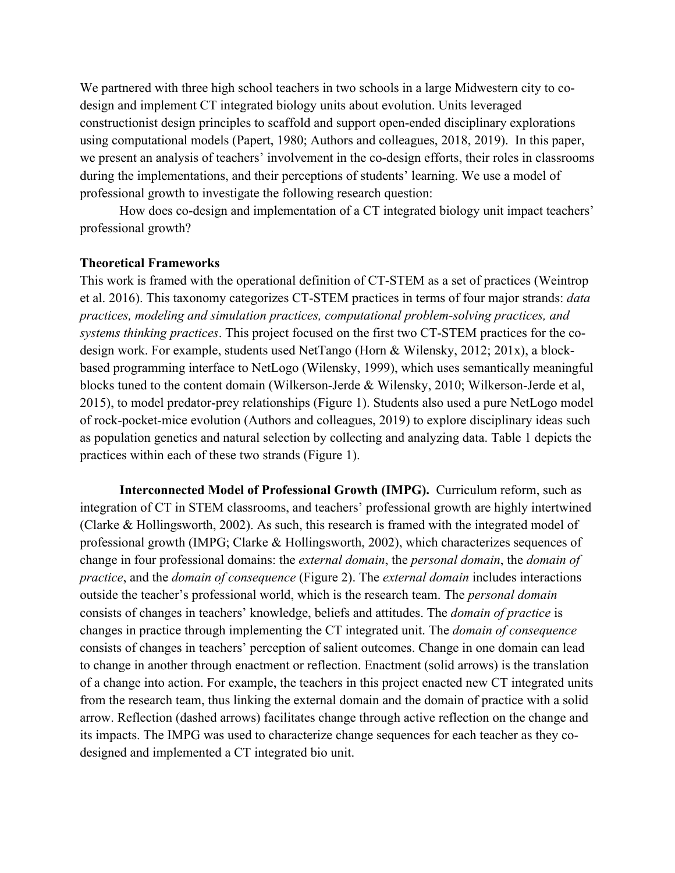We partnered with three high school teachers in two schools in a large Midwestern city to codesign and implement CT integrated biology units about evolution. Units leveraged constructionist design principles to scaffold and support open-ended disciplinary explorations using computational models (Papert, 1980; Authors and colleagues, 2018, 2019). In this paper, we present an analysis of teachers' involvement in the co-design efforts, their roles in classrooms during the implementations, and their perceptions of students' learning. We use a model of professional growth to investigate the following research question:

How does co-design and implementation of a CT integrated biology unit impact teachers' professional growth?

#### **Theoretical Frameworks**

This work is framed with the operational definition of CT-STEM as a set of practices (Weintrop et al. 2016). This taxonomy categorizes CT-STEM practices in terms of four major strands: *data practices, modeling and simulation practices, computational problem-solving practices, and systems thinking practices*. This project focused on the first two CT-STEM practices for the codesign work. For example, students used NetTango (Horn & Wilensky, 2012; 201x), a blockbased programming interface to NetLogo (Wilensky, 1999), which uses semantically meaningful blocks tuned to the content domain (Wilkerson-Jerde & Wilensky, 2010; Wilkerson-Jerde et al, 2015), to model predator-prey relationships (Figure 1). Students also used a pure NetLogo model of rock-pocket-mice evolution (Authors and colleagues, 2019) to explore disciplinary ideas such as population genetics and natural selection by collecting and analyzing data. Table 1 depicts the practices within each of these two strands (Figure 1).

**Interconnected Model of Professional Growth (IMPG).** Curriculum reform, such as integration of CT in STEM classrooms, and teachers' professional growth are highly intertwined (Clarke & Hollingsworth, 2002). As such, this research is framed with the integrated model of professional growth (IMPG; Clarke & Hollingsworth, 2002), which characterizes sequences of change in four professional domains: the *external domain*, the *personal domain*, the *domain of practice*, and the *domain of consequence* (Figure 2). The *external domain* includes interactions outside the teacher's professional world, which is the research team. The *personal domain* consists of changes in teachers' knowledge, beliefs and attitudes. The *domain of practice* is changes in practice through implementing the CT integrated unit. The *domain of consequence* consists of changes in teachers' perception of salient outcomes. Change in one domain can lead to change in another through enactment or reflection. Enactment (solid arrows) is the translation of a change into action. For example, the teachers in this project enacted new CT integrated units from the research team, thus linking the external domain and the domain of practice with a solid arrow. Reflection (dashed arrows) facilitates change through active reflection on the change and its impacts. The IMPG was used to characterize change sequences for each teacher as they codesigned and implemented a CT integrated bio unit.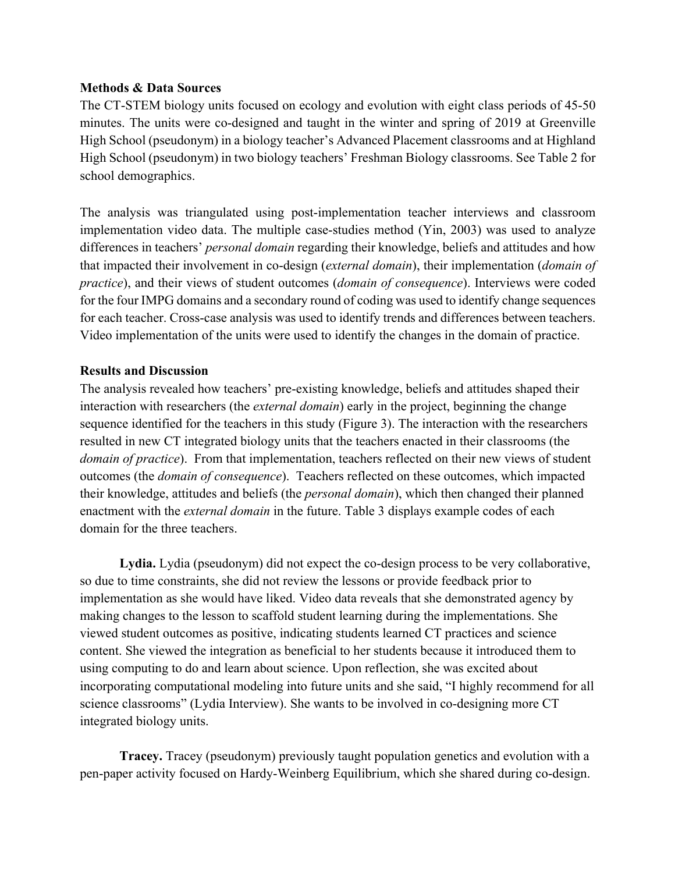#### **Methods & Data Sources**

The CT-STEM biology units focused on ecology and evolution with eight class periods of 45-50 minutes. The units were co-designed and taught in the winter and spring of 2019 at Greenville High School (pseudonym) in a biology teacher's Advanced Placement classrooms and at Highland High School (pseudonym) in two biology teachers' Freshman Biology classrooms. See Table 2 for school demographics.

The analysis was triangulated using post-implementation teacher interviews and classroom implementation video data. The multiple case-studies method (Yin, 2003) was used to analyze differences in teachers' *personal domain* regarding their knowledge, beliefs and attitudes and how that impacted their involvement in co-design (*external domain*), their implementation (*domain of practice*), and their views of student outcomes (*domain of consequence*). Interviews were coded for the four IMPG domains and a secondary round of coding was used to identify change sequences for each teacher. Cross-case analysis was used to identify trends and differences between teachers. Video implementation of the units were used to identify the changes in the domain of practice.

## **Results and Discussion**

The analysis revealed how teachers' pre-existing knowledge, beliefs and attitudes shaped their interaction with researchers (the *external domain*) early in the project, beginning the change sequence identified for the teachers in this study (Figure 3). The interaction with the researchers resulted in new CT integrated biology units that the teachers enacted in their classrooms (the *domain of practice*). From that implementation, teachers reflected on their new views of student outcomes (the *domain of consequence*). Teachers reflected on these outcomes, which impacted their knowledge, attitudes and beliefs (the *personal domain*), which then changed their planned enactment with the *external domain* in the future. Table 3 displays example codes of each domain for the three teachers.

**Lydia.** Lydia (pseudonym) did not expect the co-design process to be very collaborative, so due to time constraints, she did not review the lessons or provide feedback prior to implementation as she would have liked. Video data reveals that she demonstrated agency by making changes to the lesson to scaffold student learning during the implementations. She viewed student outcomes as positive, indicating students learned CT practices and science content. She viewed the integration as beneficial to her students because it introduced them to using computing to do and learn about science. Upon reflection, she was excited about incorporating computational modeling into future units and she said, "I highly recommend for all science classrooms" (Lydia Interview). She wants to be involved in co-designing more CT integrated biology units.

**Tracey.** Tracey (pseudonym) previously taught population genetics and evolution with a pen-paper activity focused on Hardy-Weinberg Equilibrium, which she shared during co-design.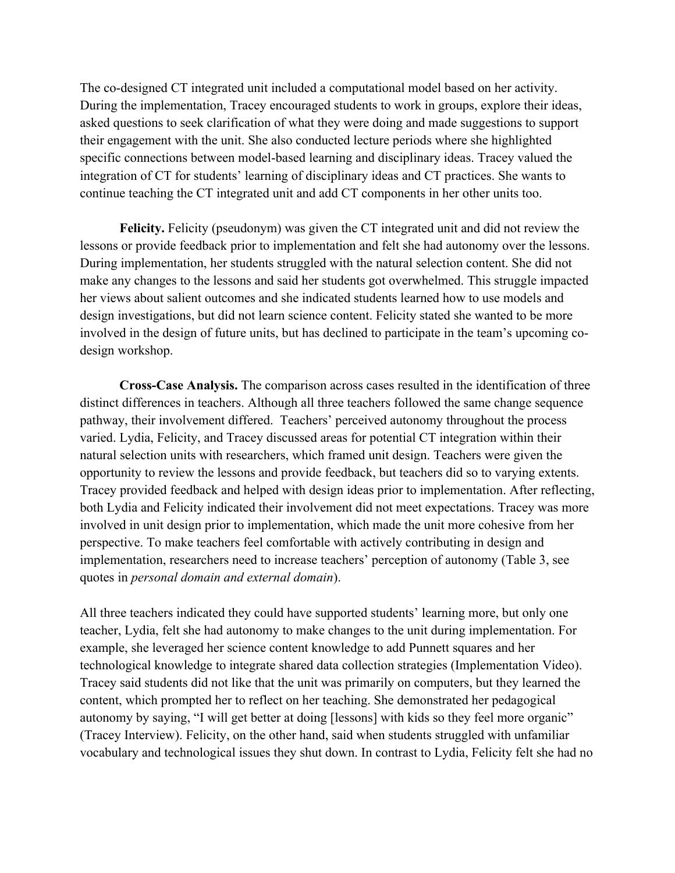The co-designed CT integrated unit included a computational model based on her activity. During the implementation, Tracey encouraged students to work in groups, explore their ideas, asked questions to seek clarification of what they were doing and made suggestions to support their engagement with the unit. She also conducted lecture periods where she highlighted specific connections between model-based learning and disciplinary ideas. Tracey valued the integration of CT for students' learning of disciplinary ideas and CT practices. She wants to continue teaching the CT integrated unit and add CT components in her other units too.

**Felicity.** Felicity (pseudonym) was given the CT integrated unit and did not review the lessons or provide feedback prior to implementation and felt she had autonomy over the lessons. During implementation, her students struggled with the natural selection content. She did not make any changes to the lessons and said her students got overwhelmed. This struggle impacted her views about salient outcomes and she indicated students learned how to use models and design investigations, but did not learn science content. Felicity stated she wanted to be more involved in the design of future units, but has declined to participate in the team's upcoming codesign workshop.

**Cross-Case Analysis.** The comparison across cases resulted in the identification of three distinct differences in teachers. Although all three teachers followed the same change sequence pathway, their involvement differed. Teachers' perceived autonomy throughout the process varied. Lydia, Felicity, and Tracey discussed areas for potential CT integration within their natural selection units with researchers, which framed unit design. Teachers were given the opportunity to review the lessons and provide feedback, but teachers did so to varying extents. Tracey provided feedback and helped with design ideas prior to implementation. After reflecting, both Lydia and Felicity indicated their involvement did not meet expectations. Tracey was more involved in unit design prior to implementation, which made the unit more cohesive from her perspective. To make teachers feel comfortable with actively contributing in design and implementation, researchers need to increase teachers' perception of autonomy (Table 3, see quotes in *personal domain and external domain*).

All three teachers indicated they could have supported students' learning more, but only one teacher, Lydia, felt she had autonomy to make changes to the unit during implementation. For example, she leveraged her science content knowledge to add Punnett squares and her technological knowledge to integrate shared data collection strategies (Implementation Video). Tracey said students did not like that the unit was primarily on computers, but they learned the content, which prompted her to reflect on her teaching. She demonstrated her pedagogical autonomy by saying, "I will get better at doing [lessons] with kids so they feel more organic" (Tracey Interview). Felicity, on the other hand, said when students struggled with unfamiliar vocabulary and technological issues they shut down. In contrast to Lydia, Felicity felt she had no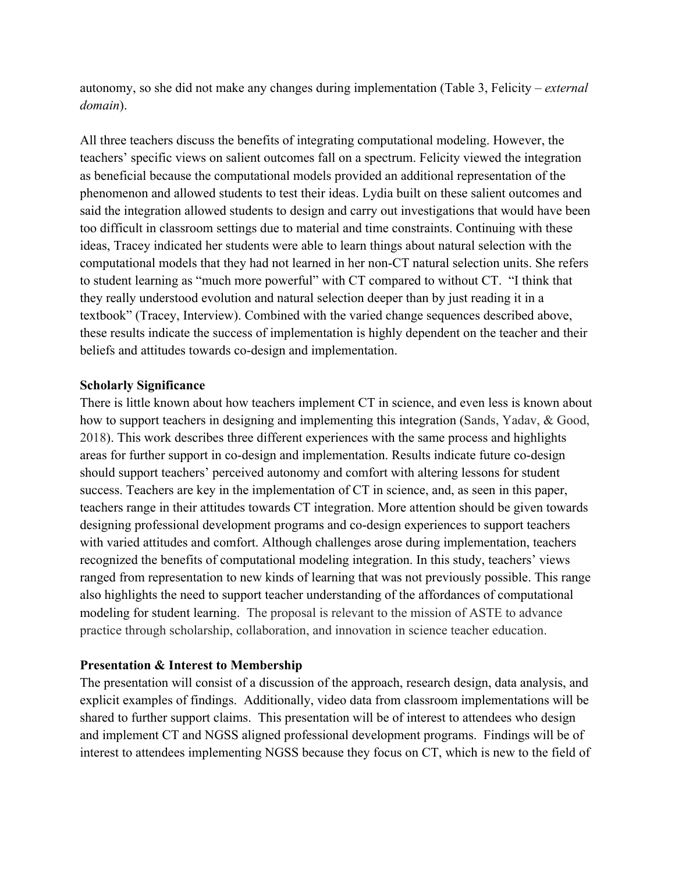autonomy, so she did not make any changes during implementation (Table 3, Felicity – *external domain*).

All three teachers discuss the benefits of integrating computational modeling. However, the teachers' specific views on salient outcomes fall on a spectrum. Felicity viewed the integration as beneficial because the computational models provided an additional representation of the phenomenon and allowed students to test their ideas. Lydia built on these salient outcomes and said the integration allowed students to design and carry out investigations that would have been too difficult in classroom settings due to material and time constraints. Continuing with these ideas, Tracey indicated her students were able to learn things about natural selection with the computational models that they had not learned in her non-CT natural selection units. She refers to student learning as "much more powerful" with CT compared to without CT. "I think that they really understood evolution and natural selection deeper than by just reading it in a textbook" (Tracey, Interview). Combined with the varied change sequences described above, these results indicate the success of implementation is highly dependent on the teacher and their beliefs and attitudes towards co-design and implementation.

#### **Scholarly Significance**

There is little known about how teachers implement CT in science, and even less is known about how to support teachers in designing and implementing this integration (Sands, Yadav, & Good, 2018). This work describes three different experiences with the same process and highlights areas for further support in co-design and implementation. Results indicate future co-design should support teachers' perceived autonomy and comfort with altering lessons for student success. Teachers are key in the implementation of CT in science, and, as seen in this paper, teachers range in their attitudes towards CT integration. More attention should be given towards designing professional development programs and co-design experiences to support teachers with varied attitudes and comfort. Although challenges arose during implementation, teachers recognized the benefits of computational modeling integration. In this study, teachers' views ranged from representation to new kinds of learning that was not previously possible. This range also highlights the need to support teacher understanding of the affordances of computational modeling for student learning. The proposal is relevant to the mission of ASTE to advance practice through scholarship, collaboration, and innovation in science teacher education.

# **Presentation & Interest to Membership**

The presentation will consist of a discussion of the approach, research design, data analysis, and explicit examples of findings. Additionally, video data from classroom implementations will be shared to further support claims. This presentation will be of interest to attendees who design and implement CT and NGSS aligned professional development programs. Findings will be of interest to attendees implementing NGSS because they focus on CT, which is new to the field of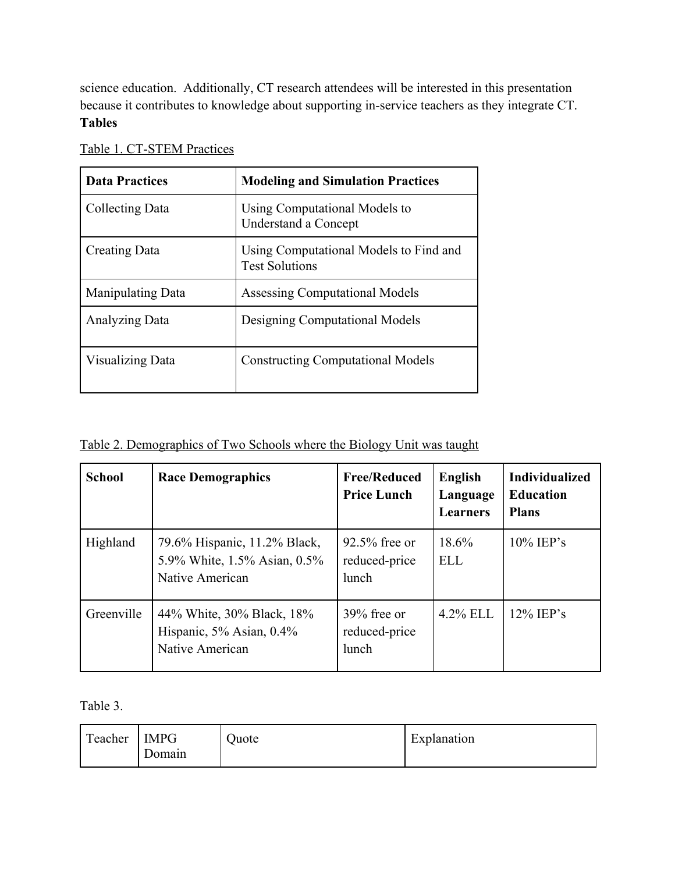science education. Additionally, CT research attendees will be interested in this presentation because it contributes to knowledge about supporting in-service teachers as they integrate CT. **Tables**

| <b>Data Practices</b>    | <b>Modeling and Simulation Practices</b>                        |
|--------------------------|-----------------------------------------------------------------|
| Collecting Data          | Using Computational Models to<br>Understand a Concept           |
| Creating Data            | Using Computational Models to Find and<br><b>Test Solutions</b> |
| <b>Manipulating Data</b> | <b>Assessing Computational Models</b>                           |
| Analyzing Data           | Designing Computational Models                                  |
| <b>Visualizing Data</b>  | <b>Constructing Computational Models</b>                        |

Table 1. CT-STEM Practices

# Table 2. Demographics of Two Schools where the Biology Unit was taught

| <b>School</b> | <b>Race Demographics</b>                                                        | <b>Free/Reduced</b><br><b>Price Lunch</b>  | <b>English</b><br>Language<br><b>Learners</b> | <b>Individualized</b><br><b>Education</b><br><b>Plans</b> |
|---------------|---------------------------------------------------------------------------------|--------------------------------------------|-----------------------------------------------|-----------------------------------------------------------|
| Highland      | 79.6% Hispanic, 11.2% Black,<br>5.9% White, 1.5% Asian, 0.5%<br>Native American | $92.5\%$ free or<br>reduced-price<br>lunch | 18.6%<br><b>ELL</b>                           | $10\%$ IEP's                                              |
| Greenville    | 44% White, 30% Black, 18%<br>Hispanic, 5% Asian, 0.4%<br>Native American        | $39\%$ free or<br>reduced-price<br>lunch   | $4.2\%$ ELL                                   | $12\%$ IEP's                                              |

Table 3.

| $\sqrt{ }$ | <b>IMPG</b> | Juote | $\blacksquare$ |
|------------|-------------|-------|----------------|
| reacher    | Jomain      |       | Explanation    |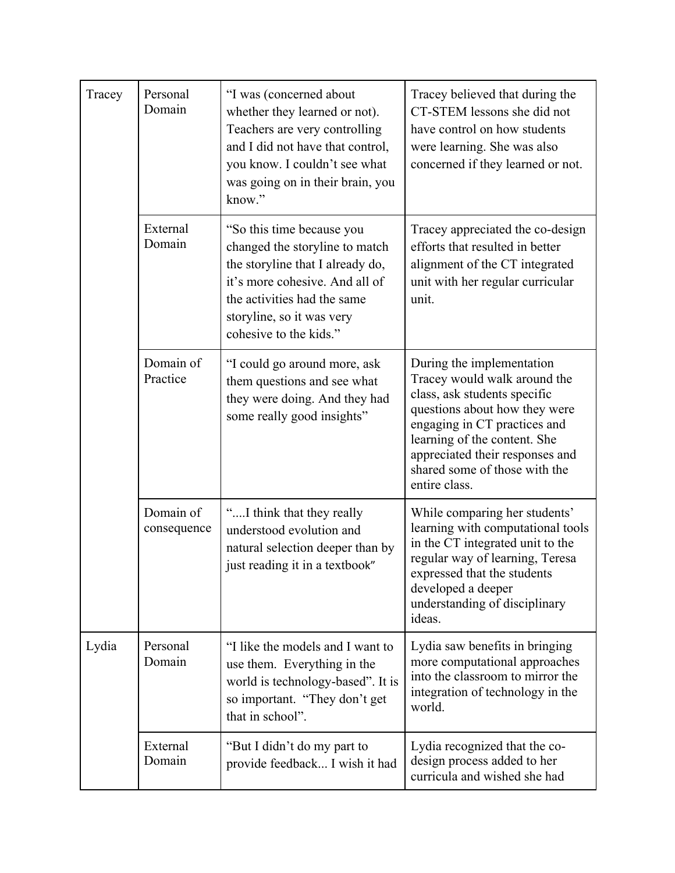| Tracey | Personal<br>Domain       | "I was (concerned about<br>whether they learned or not).<br>Teachers are very controlling<br>and I did not have that control,<br>you know. I couldn't see what<br>was going on in their brain, you<br>know."            | Tracey believed that during the<br>CT-STEM lessons she did not<br>have control on how students<br>were learning. She was also<br>concerned if they learned or not.                                                                                                              |
|--------|--------------------------|-------------------------------------------------------------------------------------------------------------------------------------------------------------------------------------------------------------------------|---------------------------------------------------------------------------------------------------------------------------------------------------------------------------------------------------------------------------------------------------------------------------------|
|        | External<br>Domain       | "So this time because you<br>changed the storyline to match<br>the storyline that I already do,<br>it's more cohesive. And all of<br>the activities had the same<br>storyline, so it was very<br>cohesive to the kids." | Tracey appreciated the co-design<br>efforts that resulted in better<br>alignment of the CT integrated<br>unit with her regular curricular<br>unit.                                                                                                                              |
|        | Domain of<br>Practice    | "I could go around more, ask<br>them questions and see what<br>they were doing. And they had<br>some really good insights"                                                                                              | During the implementation<br>Tracey would walk around the<br>class, ask students specific<br>questions about how they were<br>engaging in CT practices and<br>learning of the content. She<br>appreciated their responses and<br>shared some of those with the<br>entire class. |
|        | Domain of<br>consequence | "I think that they really<br>understood evolution and<br>natural selection deeper than by<br>just reading it in a textbook"                                                                                             | While comparing her students'<br>learning with computational tools<br>in the CT integrated unit to the<br>regular way of learning, Teresa<br>expressed that the students<br>developed a deeper<br>understanding of disciplinary<br>ideas.                                       |
| Lydia  | Personal<br>Domain       | "I like the models and I want to<br>use them. Everything in the<br>world is technology-based". It is<br>so important. "They don't get<br>that in school".                                                               | Lydia saw benefits in bringing<br>more computational approaches<br>into the classroom to mirror the<br>integration of technology in the<br>world.                                                                                                                               |
|        | External<br>Domain       | "But I didn't do my part to<br>provide feedback I wish it had                                                                                                                                                           | Lydia recognized that the co-<br>design process added to her<br>curricula and wished she had                                                                                                                                                                                    |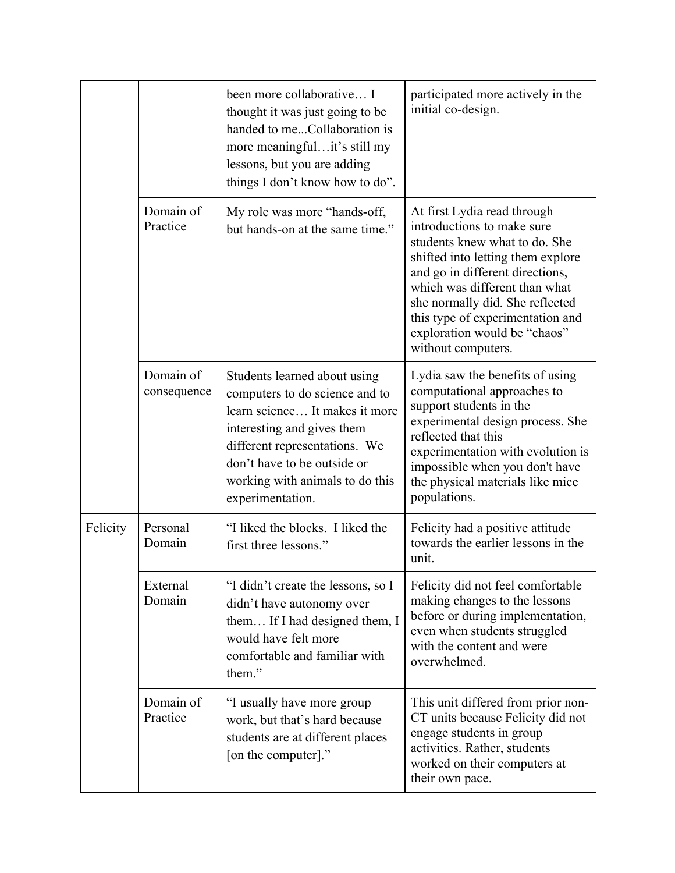|          |                          | been more collaborative I<br>thought it was just going to be<br>handed to meCollaboration is<br>more meaningfulit's still my<br>lessons, but you are adding<br>things I don't know how to do".                                                        | participated more actively in the<br>initial co-design.                                                                                                                                                                                                                                                                          |
|----------|--------------------------|-------------------------------------------------------------------------------------------------------------------------------------------------------------------------------------------------------------------------------------------------------|----------------------------------------------------------------------------------------------------------------------------------------------------------------------------------------------------------------------------------------------------------------------------------------------------------------------------------|
|          | Domain of<br>Practice    | My role was more "hands-off,<br>but hands-on at the same time."                                                                                                                                                                                       | At first Lydia read through<br>introductions to make sure<br>students knew what to do. She<br>shifted into letting them explore<br>and go in different directions,<br>which was different than what<br>she normally did. She reflected<br>this type of experimentation and<br>exploration would be "chaos"<br>without computers. |
|          | Domain of<br>consequence | Students learned about using<br>computers to do science and to<br>learn science It makes it more<br>interesting and gives them<br>different representations. We<br>don't have to be outside or<br>working with animals to do this<br>experimentation. | Lydia saw the benefits of using<br>computational approaches to<br>support students in the<br>experimental design process. She<br>reflected that this<br>experimentation with evolution is<br>impossible when you don't have<br>the physical materials like mice<br>populations.                                                  |
| Felicity | Personal<br>Domain       | "I liked the blocks. I liked the<br>first three lessons."                                                                                                                                                                                             | Felicity had a positive attitude<br>towards the earlier lessons in the<br>unit.                                                                                                                                                                                                                                                  |
|          | External<br>Domain       | "I didn't create the lessons, so I<br>didn't have autonomy over<br>them If I had designed them, I<br>would have felt more<br>comfortable and familiar with<br>them."                                                                                  | Felicity did not feel comfortable<br>making changes to the lessons<br>before or during implementation,<br>even when students struggled<br>with the content and were<br>overwhelmed.                                                                                                                                              |
|          | Domain of<br>Practice    | "I usually have more group<br>work, but that's hard because<br>students are at different places<br>[on the computer]."                                                                                                                                | This unit differed from prior non-<br>CT units because Felicity did not<br>engage students in group<br>activities. Rather, students<br>worked on their computers at<br>their own pace.                                                                                                                                           |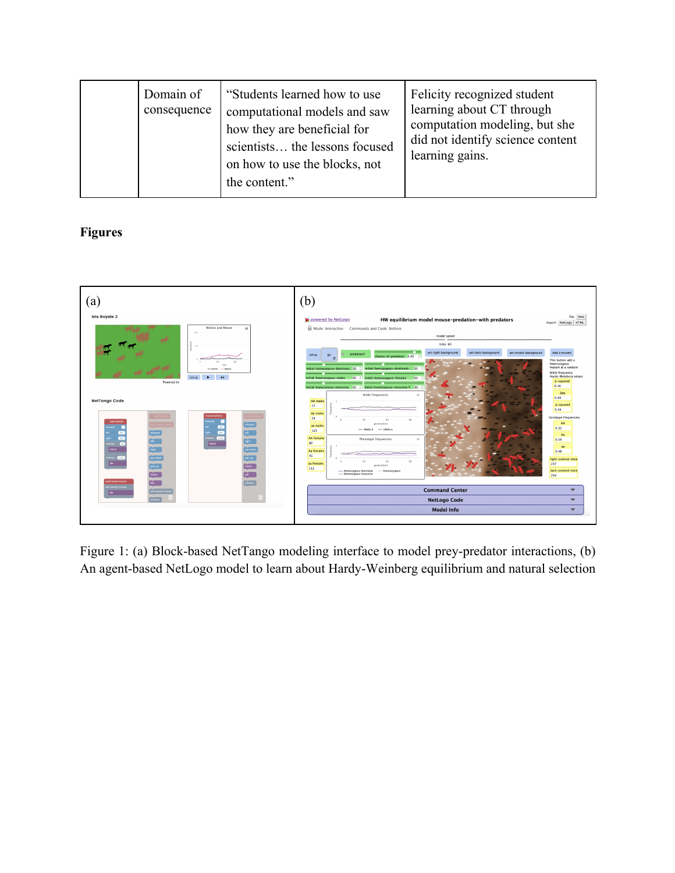|  | Domain of<br>consequence | "Students learned how to use<br>computational models and saw<br>how they are beneficial for<br>scientists the lessons focused<br>on how to use the blocks, not<br>the content." | Felicity recognized student<br>learning about CT through<br>computation modeling, but she<br>did not identify science content<br>learning gains. |
|--|--------------------------|---------------------------------------------------------------------------------------------------------------------------------------------------------------------------------|--------------------------------------------------------------------------------------------------------------------------------------------------|
|--|--------------------------|---------------------------------------------------------------------------------------------------------------------------------------------------------------------------------|--------------------------------------------------------------------------------------------------------------------------------------------------|

# **Figures**



Figure 1: (a) Block-based NetTango modeling interface to model prey-predator interactions, (b) An agent-based NetLogo model to learn about Hardy-Weinberg equilibrium and natural selection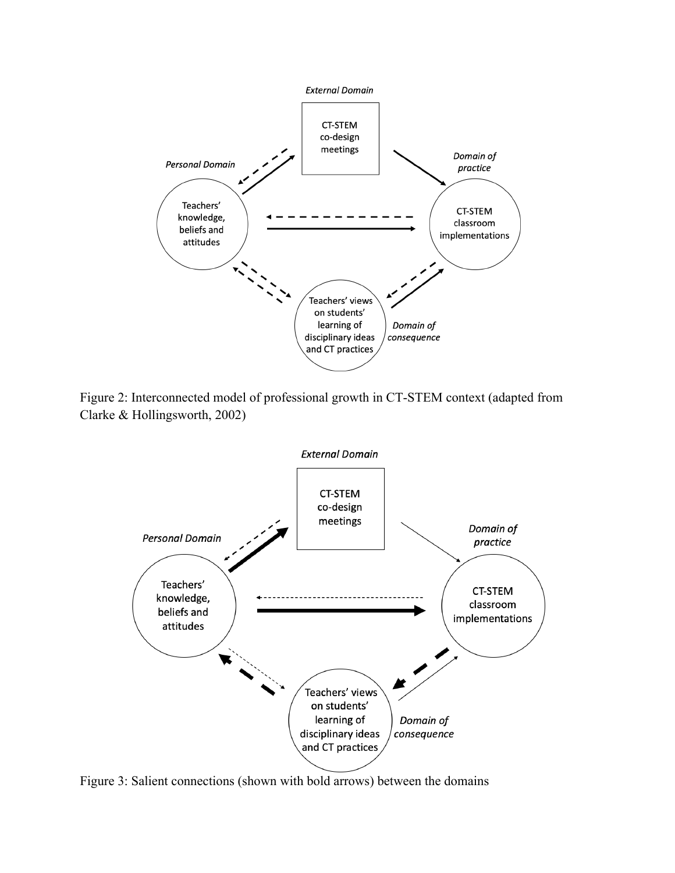

Figure 2: Interconnected model of professional growth in CT-STEM context (adapted from Clarke & Hollingsworth, 2002)



Figure 3: Salient connections (shown with bold arrows) between the domains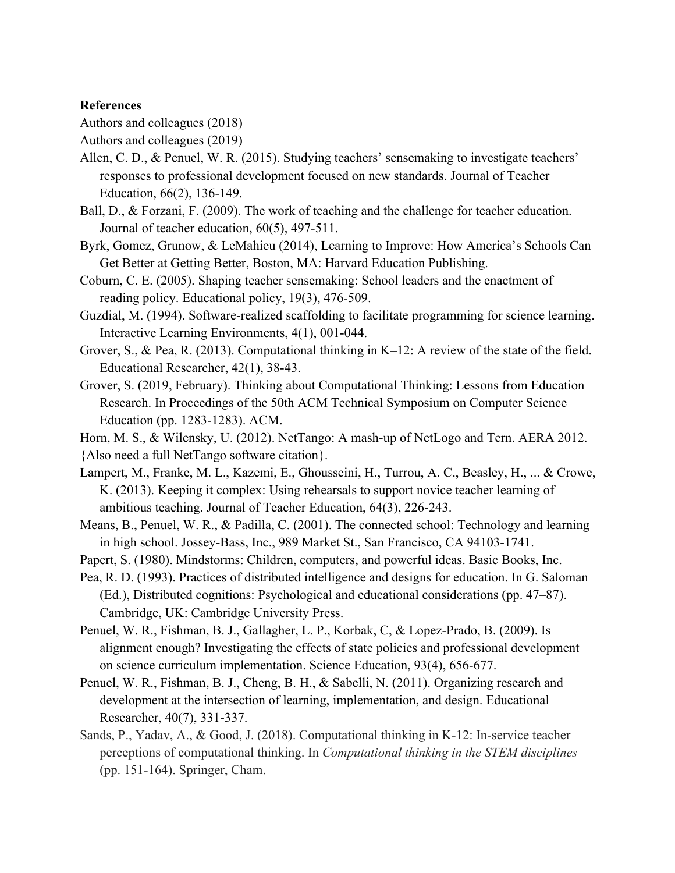#### **References**

Authors and colleagues (2018)

Authors and colleagues (2019)

- Allen, C. D., & Penuel, W. R. (2015). Studying teachers' sensemaking to investigate teachers' responses to professional development focused on new standards. Journal of Teacher Education, 66(2), 136-149.
- Ball, D., & Forzani, F. (2009). The work of teaching and the challenge for teacher education. Journal of teacher education, 60(5), 497-511.
- Byrk, Gomez, Grunow, & LeMahieu (2014), Learning to Improve: How America's Schools Can Get Better at Getting Better, Boston, MA: Harvard Education Publishing.
- Coburn, C. E. (2005). Shaping teacher sensemaking: School leaders and the enactment of reading policy. Educational policy, 19(3), 476-509.
- Guzdial, M. (1994). Software-realized scaffolding to facilitate programming for science learning. Interactive Learning Environments, 4(1), 001-044.
- Grover, S., & Pea, R. (2013). Computational thinking in K–12: A review of the state of the field. Educational Researcher, 42(1), 38-43.
- Grover, S. (2019, February). Thinking about Computational Thinking: Lessons from Education Research. In Proceedings of the 50th ACM Technical Symposium on Computer Science Education (pp. 1283-1283). ACM.
- Horn, M. S., & Wilensky, U. (2012). NetTango: A mash-up of NetLogo and Tern. AERA 2012.

{Also need a full NetTango software citation}.

- Lampert, M., Franke, M. L., Kazemi, E., Ghousseini, H., Turrou, A. C., Beasley, H., ... & Crowe, K. (2013). Keeping it complex: Using rehearsals to support novice teacher learning of ambitious teaching. Journal of Teacher Education, 64(3), 226-243.
- Means, B., Penuel, W. R., & Padilla, C. (2001). The connected school: Technology and learning in high school. Jossey-Bass, Inc., 989 Market St., San Francisco, CA 94103-1741.
- Papert, S. (1980). Mindstorms: Children, computers, and powerful ideas. Basic Books, Inc.
- Pea, R. D. (1993). Practices of distributed intelligence and designs for education. In G. Saloman (Ed.), Distributed cognitions: Psychological and educational considerations (pp. 47–87). Cambridge, UK: Cambridge University Press.
- Penuel, W. R., Fishman, B. J., Gallagher, L. P., Korbak, C, & Lopez-Prado, B. (2009). Is alignment enough? Investigating the effects of state policies and professional development on science curriculum implementation. Science Education, 93(4), 656-677.
- Penuel, W. R., Fishman, B. J., Cheng, B. H., & Sabelli, N. (2011). Organizing research and development at the intersection of learning, implementation, and design. Educational Researcher, 40(7), 331-337.
- Sands, P., Yadav, A., & Good, J. (2018). Computational thinking in K-12: In-service teacher perceptions of computational thinking. In *Computational thinking in the STEM disciplines* (pp. 151-164). Springer, Cham.